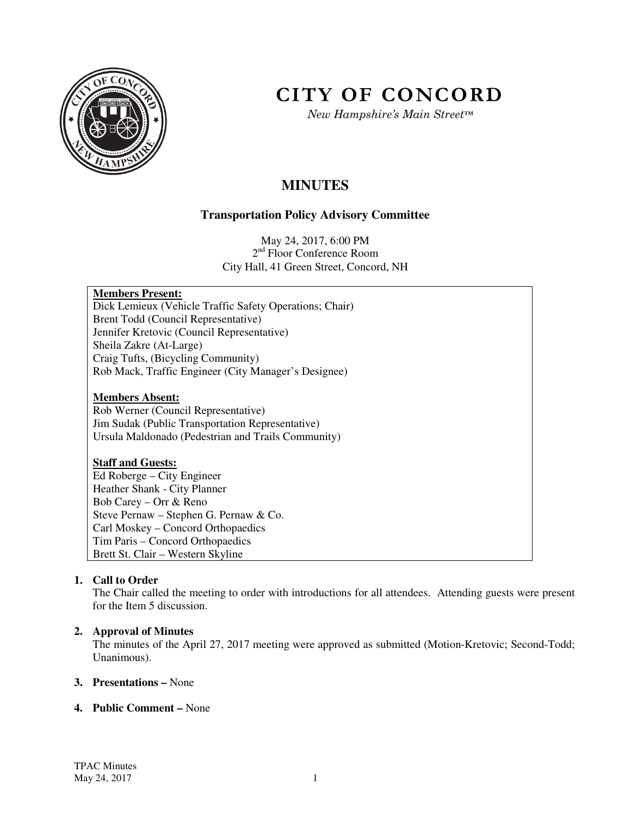

# **CITY OF CONCORD**

*New Hampshire's Main Street™*

# **MINUTES**

# **Transportation Policy Advisory Committee**

May 24, 2017, 6:00 PM 2<sup>nd</sup> Floor Conference Room City Hall, 41 Green Street, Concord, NH

# **Members Present:**

Dick Lemieux (Vehicle Traffic Safety Operations; Chair) Brent Todd (Council Representative) Jennifer Kretovic (Council Representative) Sheila Zakre (At-Large) Craig Tufts, (Bicycling Community) Rob Mack, Traffic Engineer (City Manager's Designee)

# **Members Absent:**

Rob Werner (Council Representative) Jim Sudak (Public Transportation Representative) Ursula Maldonado (Pedestrian and Trails Community)

# **Staff and Guests:**

Ed Roberge – City Engineer Heather Shank - City Planner Bob Carey – Orr & Reno Steve Pernaw – Stephen G. Pernaw & Co. Carl Moskey – Concord Orthopaedics Tim Paris – Concord Orthopaedics Brett St. Clair – Western Skyline

# **1. Call to Order**

The Chair called the meeting to order with introductions for all attendees. Attending guests were present for the Item 5 discussion.

# **2. Approval of Minutes**

The minutes of the April 27, 2017 meeting were approved as submitted (Motion-Kretovic; Second-Todd; Unanimous).

# **3. Presentations –** None

# **4. Public Comment –** None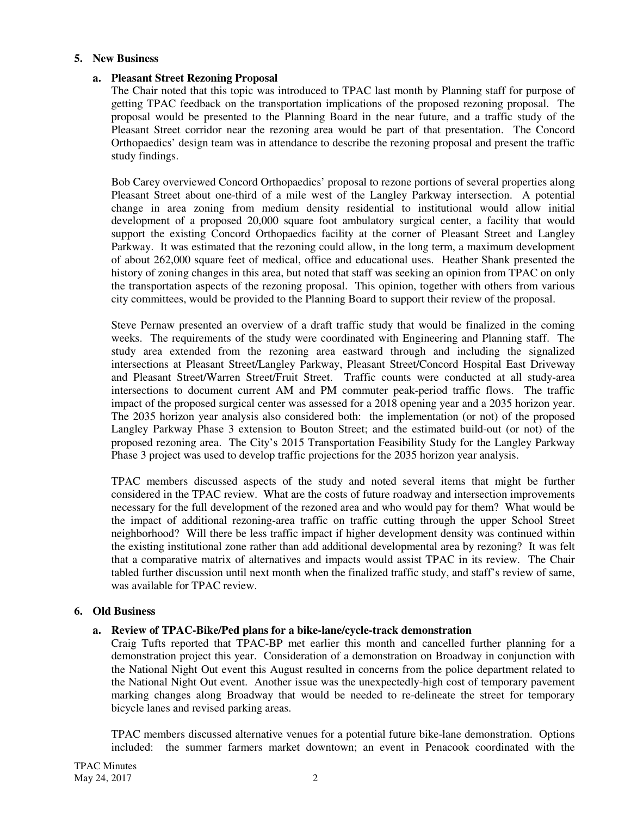# **5. New Business**

#### **a. Pleasant Street Rezoning Proposal**

The Chair noted that this topic was introduced to TPAC last month by Planning staff for purpose of getting TPAC feedback on the transportation implications of the proposed rezoning proposal. The proposal would be presented to the Planning Board in the near future, and a traffic study of the Pleasant Street corridor near the rezoning area would be part of that presentation. The Concord Orthopaedics' design team was in attendance to describe the rezoning proposal and present the traffic study findings.

Bob Carey overviewed Concord Orthopaedics' proposal to rezone portions of several properties along Pleasant Street about one-third of a mile west of the Langley Parkway intersection. A potential change in area zoning from medium density residential to institutional would allow initial development of a proposed 20,000 square foot ambulatory surgical center, a facility that would support the existing Concord Orthopaedics facility at the corner of Pleasant Street and Langley Parkway. It was estimated that the rezoning could allow, in the long term, a maximum development of about 262,000 square feet of medical, office and educational uses. Heather Shank presented the history of zoning changes in this area, but noted that staff was seeking an opinion from TPAC on only the transportation aspects of the rezoning proposal. This opinion, together with others from various city committees, would be provided to the Planning Board to support their review of the proposal.

Steve Pernaw presented an overview of a draft traffic study that would be finalized in the coming weeks. The requirements of the study were coordinated with Engineering and Planning staff. The study area extended from the rezoning area eastward through and including the signalized intersections at Pleasant Street/Langley Parkway, Pleasant Street/Concord Hospital East Driveway and Pleasant Street/Warren Street/Fruit Street. Traffic counts were conducted at all study-area intersections to document current AM and PM commuter peak-period traffic flows. The traffic impact of the proposed surgical center was assessed for a 2018 opening year and a 2035 horizon year. The 2035 horizon year analysis also considered both: the implementation (or not) of the proposed Langley Parkway Phase 3 extension to Bouton Street; and the estimated build-out (or not) of the proposed rezoning area. The City's 2015 Transportation Feasibility Study for the Langley Parkway Phase 3 project was used to develop traffic projections for the 2035 horizon year analysis.

TPAC members discussed aspects of the study and noted several items that might be further considered in the TPAC review. What are the costs of future roadway and intersection improvements necessary for the full development of the rezoned area and who would pay for them? What would be the impact of additional rezoning-area traffic on traffic cutting through the upper School Street neighborhood? Will there be less traffic impact if higher development density was continued within the existing institutional zone rather than add additional developmental area by rezoning? It was felt that a comparative matrix of alternatives and impacts would assist TPAC in its review. The Chair tabled further discussion until next month when the finalized traffic study, and staff's review of same, was available for TPAC review.

#### **6. Old Business**

# **a. Review of TPAC-Bike/Ped plans for a bike-lane/cycle-track demonstration**

Craig Tufts reported that TPAC-BP met earlier this month and cancelled further planning for a demonstration project this year. Consideration of a demonstration on Broadway in conjunction with the National Night Out event this August resulted in concerns from the police department related to the National Night Out event. Another issue was the unexpectedly-high cost of temporary pavement marking changes along Broadway that would be needed to re-delineate the street for temporary bicycle lanes and revised parking areas.

TPAC members discussed alternative venues for a potential future bike-lane demonstration. Options included: the summer farmers market downtown; an event in Penacook coordinated with the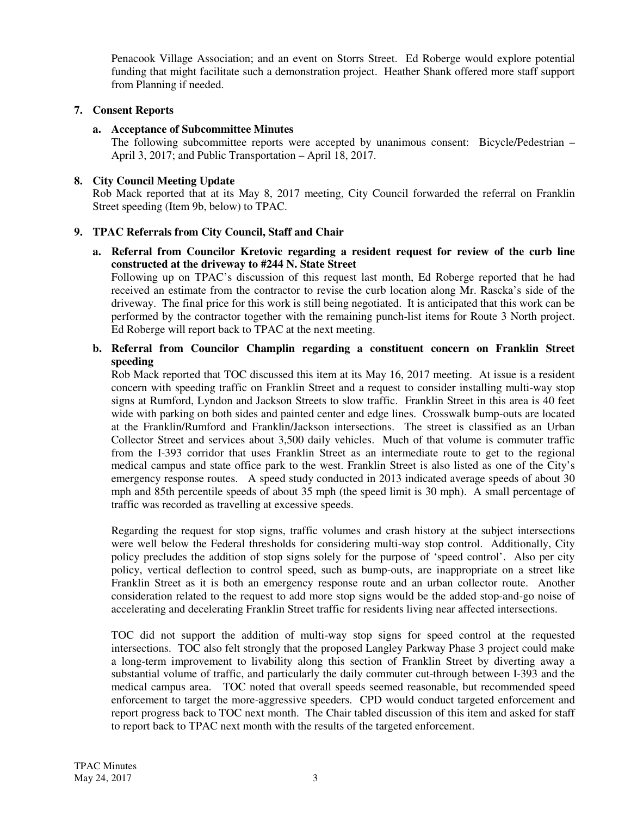Penacook Village Association; and an event on Storrs Street. Ed Roberge would explore potential funding that might facilitate such a demonstration project. Heather Shank offered more staff support from Planning if needed.

# **7. Consent Reports**

# **a. Acceptance of Subcommittee Minutes**

The following subcommittee reports were accepted by unanimous consent: Bicycle/Pedestrian – April 3, 2017; and Public Transportation – April 18, 2017.

# **8. City Council Meeting Update**

Rob Mack reported that at its May 8, 2017 meeting, City Council forwarded the referral on Franklin Street speeding (Item 9b, below) to TPAC.

# **9. TPAC Referrals from City Council, Staff and Chair**

**a. Referral from Councilor Kretovic regarding a resident request for review of the curb line constructed at the driveway to #244 N. State Street**

Following up on TPAC's discussion of this request last month, Ed Roberge reported that he had received an estimate from the contractor to revise the curb location along Mr. Rascka's side of the driveway. The final price for this work is still being negotiated. It is anticipated that this work can be performed by the contractor together with the remaining punch-list items for Route 3 North project. Ed Roberge will report back to TPAC at the next meeting.

# **b. Referral from Councilor Champlin regarding a constituent concern on Franklin Street speeding**

Rob Mack reported that TOC discussed this item at its May 16, 2017 meeting. At issue is a resident concern with speeding traffic on Franklin Street and a request to consider installing multi-way stop signs at Rumford, Lyndon and Jackson Streets to slow traffic. Franklin Street in this area is 40 feet wide with parking on both sides and painted center and edge lines. Crosswalk bump-outs are located at the Franklin/Rumford and Franklin/Jackson intersections. The street is classified as an Urban Collector Street and services about 3,500 daily vehicles. Much of that volume is commuter traffic from the I-393 corridor that uses Franklin Street as an intermediate route to get to the regional medical campus and state office park to the west. Franklin Street is also listed as one of the City's emergency response routes. A speed study conducted in 2013 indicated average speeds of about 30 mph and 85th percentile speeds of about 35 mph (the speed limit is 30 mph). A small percentage of traffic was recorded as travelling at excessive speeds.

Regarding the request for stop signs, traffic volumes and crash history at the subject intersections were well below the Federal thresholds for considering multi-way stop control. Additionally, City policy precludes the addition of stop signs solely for the purpose of 'speed control'. Also per city policy, vertical deflection to control speed, such as bump-outs, are inappropriate on a street like Franklin Street as it is both an emergency response route and an urban collector route. Another consideration related to the request to add more stop signs would be the added stop-and-go noise of accelerating and decelerating Franklin Street traffic for residents living near affected intersections.

TOC did not support the addition of multi-way stop signs for speed control at the requested intersections. TOC also felt strongly that the proposed Langley Parkway Phase 3 project could make a long-term improvement to livability along this section of Franklin Street by diverting away a substantial volume of traffic, and particularly the daily commuter cut-through between I-393 and the medical campus area. TOC noted that overall speeds seemed reasonable, but recommended speed enforcement to target the more-aggressive speeders. CPD would conduct targeted enforcement and report progress back to TOC next month. The Chair tabled discussion of this item and asked for staff to report back to TPAC next month with the results of the targeted enforcement.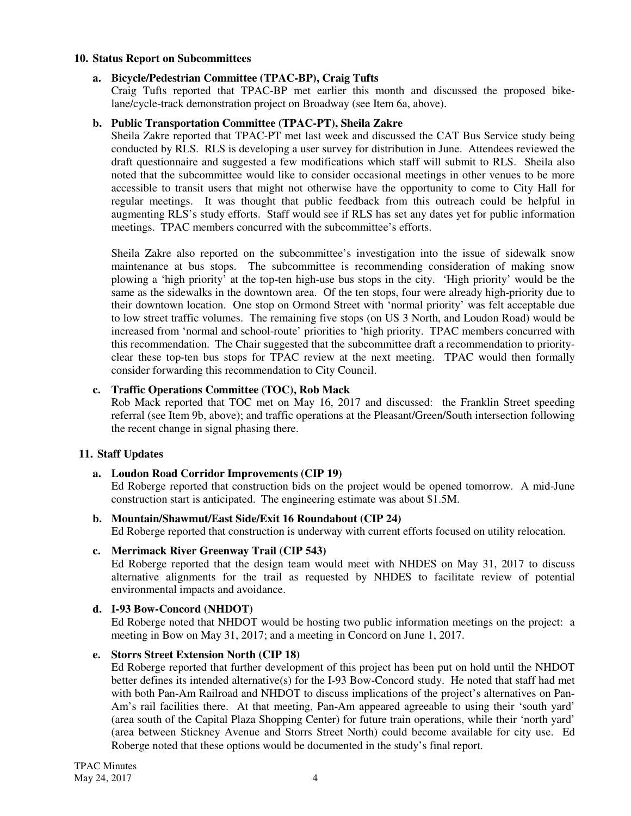#### **10. Status Report on Subcommittees**

#### **a. Bicycle/Pedestrian Committee (TPAC-BP), Craig Tufts**

Craig Tufts reported that TPAC-BP met earlier this month and discussed the proposed bikelane/cycle-track demonstration project on Broadway (see Item 6a, above).

# **b. Public Transportation Committee (TPAC-PT), Sheila Zakre**

Sheila Zakre reported that TPAC-PT met last week and discussed the CAT Bus Service study being conducted by RLS. RLS is developing a user survey for distribution in June. Attendees reviewed the draft questionnaire and suggested a few modifications which staff will submit to RLS. Sheila also noted that the subcommittee would like to consider occasional meetings in other venues to be more accessible to transit users that might not otherwise have the opportunity to come to City Hall for regular meetings. It was thought that public feedback from this outreach could be helpful in augmenting RLS's study efforts. Staff would see if RLS has set any dates yet for public information meetings. TPAC members concurred with the subcommittee's efforts.

Sheila Zakre also reported on the subcommittee's investigation into the issue of sidewalk snow maintenance at bus stops. The subcommittee is recommending consideration of making snow plowing a 'high priority' at the top-ten high-use bus stops in the city. 'High priority' would be the same as the sidewalks in the downtown area. Of the ten stops, four were already high-priority due to their downtown location. One stop on Ormond Street with 'normal priority' was felt acceptable due to low street traffic volumes. The remaining five stops (on US 3 North, and Loudon Road) would be increased from 'normal and school-route' priorities to 'high priority. TPAC members concurred with this recommendation. The Chair suggested that the subcommittee draft a recommendation to priorityclear these top-ten bus stops for TPAC review at the next meeting. TPAC would then formally consider forwarding this recommendation to City Council.

# **c. Traffic Operations Committee (TOC), Rob Mack**

Rob Mack reported that TOC met on May 16, 2017 and discussed: the Franklin Street speeding referral (see Item 9b, above); and traffic operations at the Pleasant/Green/South intersection following the recent change in signal phasing there.

# **11. Staff Updates**

# **a. Loudon Road Corridor Improvements (CIP 19)**

Ed Roberge reported that construction bids on the project would be opened tomorrow. A mid-June construction start is anticipated. The engineering estimate was about \$1.5M.

# **b. Mountain/Shawmut/East Side/Exit 16 Roundabout (CIP 24)**

Ed Roberge reported that construction is underway with current efforts focused on utility relocation.

#### **c. Merrimack River Greenway Trail (CIP 543)**

Ed Roberge reported that the design team would meet with NHDES on May 31, 2017 to discuss alternative alignments for the trail as requested by NHDES to facilitate review of potential environmental impacts and avoidance.

#### **d. I-93 Bow-Concord (NHDOT)**

Ed Roberge noted that NHDOT would be hosting two public information meetings on the project: a meeting in Bow on May 31, 2017; and a meeting in Concord on June 1, 2017.

#### **e. Storrs Street Extension North (CIP 18)**

Ed Roberge reported that further development of this project has been put on hold until the NHDOT better defines its intended alternative(s) for the I-93 Bow-Concord study. He noted that staff had met with both Pan-Am Railroad and NHDOT to discuss implications of the project's alternatives on Pan-Am's rail facilities there. At that meeting, Pan-Am appeared agreeable to using their 'south yard' (area south of the Capital Plaza Shopping Center) for future train operations, while their 'north yard' (area between Stickney Avenue and Storrs Street North) could become available for city use. Ed Roberge noted that these options would be documented in the study's final report.